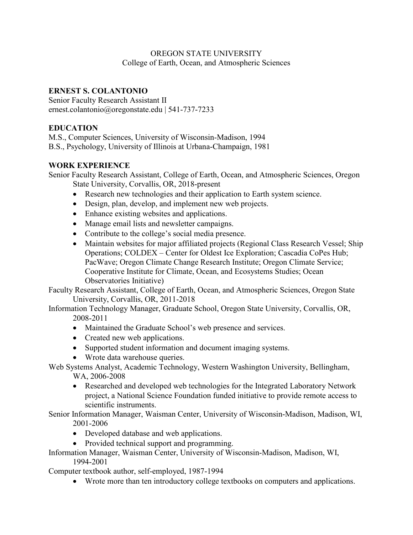#### OREGON STATE UNIVERSITY College of Earth, Ocean, and Atmospheric Sciences

#### **ERNEST S. COLANTONIO**

Senior Faculty Research Assistant II ernest.colantonio@oregonstate.edu | 541-737-7233

#### **EDUCATION**

M.S., Computer Sciences, University of Wisconsin-Madison, 1994 B.S., Psychology, University of Illinois at Urbana-Champaign, 1981

#### **WORK EXPERIENCE**

Senior Faculty Research Assistant, College of Earth, Ocean, and Atmospheric Sciences, Oregon State University, Corvallis, OR, 2018-present

- Research new technologies and their application to Earth system science.
- Design, plan, develop, and implement new web projects.
- Enhance existing websites and applications.
- Manage email lists and newsletter campaigns.
- Contribute to the college's social media presence.
- Maintain websites for major affiliated projects (Regional Class Research Vessel; Ship Operations; COLDEX – Center for Oldest Ice Exploration; Cascadia CoPes Hub; PacWave; Oregon Climate Change Research Institute; Oregon Climate Service; Cooperative Institute for Climate, Ocean, and Ecosystems Studies; Ocean Observatories Initiative)

Faculty Research Assistant, College of Earth, Ocean, and Atmospheric Sciences, Oregon State University, Corvallis, OR, 2011-2018

Information Technology Manager, Graduate School, Oregon State University, Corvallis, OR, 2008-2011

- Maintained the Graduate School's web presence and services.
- Created new web applications.
- Supported student information and document imaging systems.
- Wrote data warehouse queries.

Web Systems Analyst, Academic Technology, Western Washington University, Bellingham, WA, 2006-2008

• Researched and developed web technologies for the Integrated Laboratory Network project, a National Science Foundation funded initiative to provide remote access to scientific instruments.

Senior Information Manager, Waisman Center, University of Wisconsin-Madison, Madison, WI, 2001-2006

- Developed database and web applications.
- Provided technical support and programming.

Information Manager, Waisman Center, University of Wisconsin-Madison, Madison, WI, 1994-2001

Computer textbook author, self-employed, 1987-1994

• Wrote more than ten introductory college textbooks on computers and applications.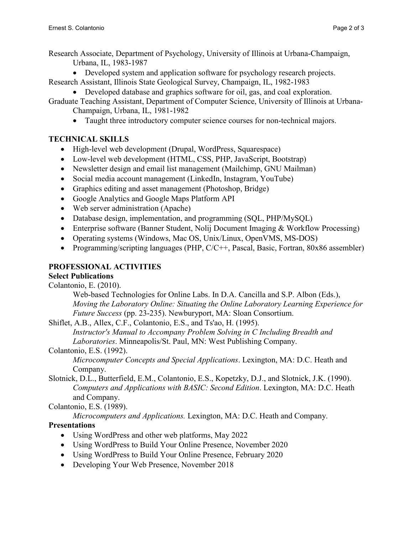Research Associate, Department of Psychology, University of Illinois at Urbana-Champaign, Urbana, IL, 1983-1987

• Developed system and application software for psychology research projects.

Research Assistant, Illinois State Geological Survey, Champaign, IL, 1982-1983

• Developed database and graphics software for oil, gas, and coal exploration.

Graduate Teaching Assistant, Department of Computer Science, University of Illinois at Urbana-Champaign, Urbana, IL, 1981-1982

• Taught three introductory computer science courses for non-technical majors.

## **TECHNICAL SKILLS**

- High-level web development (Drupal, WordPress, Squarespace)
- Low-level web development (HTML, CSS, PHP, JavaScript, Bootstrap)
- Newsletter design and email list management (Mailchimp, GNU Mailman)
- Social media account management (LinkedIn, Instagram, YouTube)
- Graphics editing and asset management (Photoshop, Bridge)
- Google Analytics and Google Maps Platform API
- Web server administration (Apache)
- Database design, implementation, and programming (SQL, PHP/MySQL)
- Enterprise software (Banner Student, Nolij Document Imaging & Workflow Processing)
- Operating systems (Windows, Mac OS, Unix/Linux, OpenVMS, MS-DOS)
- Programming/scripting languages (PHP, C/C++, Pascal, Basic, Fortran, 80x86 assembler)

# **PROFESSIONAL ACTIVITIES**

#### **Select Publications**

Colantonio, E. (2010).

Web-based Technologies for Online Labs. In D.A. Cancilla and S.P. Albon (Eds.), *Moving the Laboratory Online: Situating the Online Laboratory Learning Experience for Future Success* (pp. 23-235). Newburyport, MA: Sloan Consortium.

Shiflet, A.B., Allex, C.F., Colantonio, E.S., and Ts'ao, H. (1995).

*Instructor's Manual to Accompany Problem Solving in C Including Breadth and Laboratories*. Minneapolis/St. Paul, MN: West Publishing Company.

#### Colantonio, E.S. (1992).

*Microcomputer Concepts and Special Applications*. Lexington, MA: D.C. Heath and Company.

Slotnick, D.L., Butterfield, E.M., Colantonio, E.S., Kopetzky, D.J., and Slotnick, J.K. (1990). *Computers and Applications with BASIC: Second Edition*. Lexington, MA: D.C. Heath and Company.

Colantonio, E.S. (1989).

*Microcomputers and Applications.* Lexington, MA: D.C. Heath and Company.

## **Presentations**

- Using WordPress and other web platforms, May 2022
- Using WordPress to Build Your Online Presence, November 2020
- Using WordPress to Build Your Online Presence, February 2020
- Developing Your Web Presence, November 2018